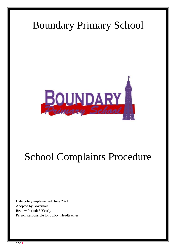

# School Complaints Procedure

Date policy implemented: June 2021 Adopted by Governors: Review Period: 3 Yearly Person Responsible for policy: Headteacher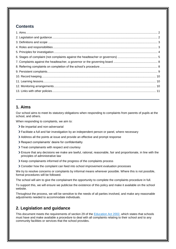# **Contents**

# <span id="page-1-0"></span>**1. Aims**

Our school aims to meet its statutory obligations when responding to complaints from parents of pupils at the school, and others.

When responding to complaints, we aim to:

- > Be impartial and non-adversarial
- Facilitate a full and fair investigation by an independent person or panel, where necessary
- Address all the points at issue and provide an effective and prompt response
- Respect complainants' desire for confidentiality
- > Treat complainants with respect and courtesy
- Ensure that any decisions we make are lawful, rational, reasonable, fair and proportionate, in line with the principles of administrative law
- Xeep complainants informed of the progress of the complaints process
- Consider how the complaint can feed into school improvement evaluation processes

We try to resolve concerns or complaints by informal means wherever possible. Where this is not possible, formal procedures will be followed.

The school will aim to give the complainant the opportunity to complete the complaints procedure in full.

To support this, we will ensure we publicise the existence of this policy and make it available on the school website.

Throughout the process, we will be sensitive to the needs of all parties involved, and make any reasonable adjustments needed to accommodate individuals.

# <span id="page-1-1"></span>**2. Legislation and guidance**

This document meets the requirements of section 29 of the [Education Act 2002,](http://www.legislation.gov.uk/ukpga/2002/32/section/29) which states that schools must have and make available a procedure to deal with all complaints relating to their school and to any community facilities or services that the school provides.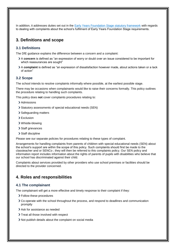In addition, it addresses duties set out in the [Early Years Foundation Stage statutory framework](https://www.gov.uk/government/publications/early-years-foundation-stage-framework--2) with regards to dealing with complaints about the school's fulfilment of Early Years Foundation Stage requirements.

# <span id="page-2-0"></span>**3. Definitions and scope**

#### **3.1 Definitions**

The DfE guidance explains the difference between a concern and a complaint:

- A **concern** is defined as "an expression of worry or doubt over an issue considered to be important for which reassurances are sought"
- A **complaint** is defined as "an expression of dissatisfaction however made, about actions taken or a lack of action"

#### **3.2 Scope**

The school intends to resolve complaints informally where possible, at the earliest possible stage.

There may be occasions when complainants would like to raise their concerns formally. This policy outlines the procedure relating to handling such complaints.

This policy does **not** cover complaints procedures relating to:

- > Admissions
- Statutory assessments of special educational needs (SEN)
- > Safeguarding matters
- > Exclusion
- Whistle-blowing
- > Staff grievances
- > Staff discipline

Please see our separate policies for procedures relating to these types of complaint.

Arrangements for handling complaints from parents of children with special educational needs (SEN) about the school's support are within the scope of this policy. Such complaints should first be made to the classteacher and or SENCo ; they will then be referred to this complaints policy. Our SEN policy and information report includes information about the rights of parents of pupils with disabilities who believe that our school has discriminated against their child.

Complaints about services provided by other providers who use school premises or facilities should be directed to the provider concerned.

# <span id="page-2-1"></span>**4. Roles and responsibilities**

#### **4.1 The complainant**

The complainant will get a more effective and timely response to their complaint if they:

- Follow these procedures
- Co-operate with the school throughout the process, and respond to deadlines and communication promptly
- > Ask for assistance as needed
- > Treat all those involved with respect
- Not publish details about the complaint on social media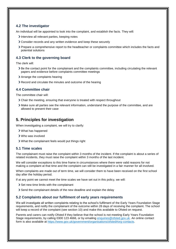## **4.2 The investigator**

An individual will be appointed to look into the complaint, and establish the facts. They will:

- Interview all relevant parties, keeping notes
- Consider records and any written evidence and keep these securely
- Prepare a comprehensive report to the headteacher or complaints committee which includes the facts and potential solutions

## **4.3 Clerk to the governing board**

The clerk will:

- Be the contact point for the complainant and the complaints committee, including circulating the relevant papers and evidence before complaints committee meetings
- Arrange the complaints hearing
- Record and circulate the minutes and outcome of the hearing

## **4.4 Committee chair**

The committee chair will:

- Chair the meeting, ensuring that everyone is treated with respect throughout
- Make sure all parties see the relevant information, understand the purpose of the committee, and are allowed to present their case

# <span id="page-3-0"></span>**5. Principles for investigation**

When investigating a complaint, we will try to clarify:

- What has happened
- Who was involved
- What the complainant feels would put things right

#### **5.1 Time scales**

The complainant must raise the complaint within 3 months of the incident. If the complaint is about a series of related incidents, they must raise the complaint within 3 months of the last incident.

We will consider exceptions to this time frame in circumstances where there were valid reasons for not making a complaint at that time and the complaint can still be investigated in a fair manner for all involved.

When complaints are made out of term time, we will consider them to have been received on the first school day after the holiday period.

If at any point we cannot meet the time scales we have set out in this policy, we will:

- Set new time limits with the complainant
- Send the complainant details of the new deadline and explain the delay

#### **5.2 Complaints about our fulfilment of early years requirements**

We will investigate all written complaints relating to the school's fulfilment of the Early Years Foundation Stage requirements, and notify the complainant of the outcome within 28 days of receiving the complaint. The school will keep a record of the complaint (see section 10) and make this available to Ofsted on request.

Parents and carers can notify Ofsted if they believe that the school is not meeting Early Years Foundation Stage requirements, by calling 0300 123 4666, or by emailing [enquiries@ofsted.gov.uk.](mailto:enquiries@ofsted.gov.uk) An online contact form is also available at [https://www.gov.uk/government/organisations/ofsted#org-contacts.](https://www.gov.uk/government/organisations/ofsted#org-contacts)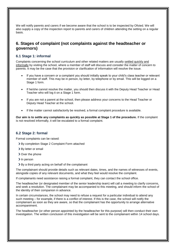We will notify parents and carers if we become aware that the school is to be inspected by Ofsted. We will also supply a copy of the inspection report to parents and carers of children attending the setting on a regular basis.

# <span id="page-4-0"></span>**6. Stages of complaint (not complaints against the headteacher or governors)**

#### **6.1 Stage 1: informal**

Complaints concerning the school curriculum and other related matters are usually settled quickly and informally by visiting the school, where a member of staff will discuss and consider the matter of concern to parents. It may be the case that the provision or clarification of information will resolve the issue.

- If you have a concern or a complaint you should initially speak to your child's class teacher or relevant member of staff. This may be in person, by letter, by telephone or by email. This will be logged on a Stage 1 form.
- If he/she cannot resolve the matter, you should then discuss it with the Deputy Head Teacher or Head Teacher who will log it on a Stage 1 form.
- If you are not a parent at the school, then please address your concerns to the Head Teacher or Deputy Head Teacher at the school.
- If the matter cannot satisfactorily be resolved, a formal complaint procedure is available.

**Our aim is to settle any complaints as quickly as possible at Stage 1 of the procedure.** If the complaint is not resolved informally, it will be escalated to a formal complaint.

## **6.2 Stage 2: formal**

Formal complaints can be raised:

- > By completion Stage 2 Complaint Form attached
- > By letter or email
- Over the phone
- > In person
- By a third party acting on behalf of the complainant

The complainant should provide details such as relevant dates, times, and the names of witnesses of events, alongside copies of any relevant documents, and what they feel would resolve the complaint.

If complainants need assistance raising a formal complaint, they can contact the school office.

The headteacher (or designated member of the senior leadership team) will call a meeting to clarify concerns, and seek a resolution. The complainant may be accompanied to this meeting, and should inform the school of the identity of their companion in advance.

In certain circumstances, the school may need to refuse a request for a particular individual to attend any such meeting – for example, if there is a conflict of interest. If this is the case, the school will notify the complainant as soon as they are aware, so that the complainant has the opportunity to arrange alternative accompaniment.

The headteacher (or other person appointed by the headteacher for this purpose) will then conduct their own investigation. The written conclusion of this investigation will be sent to the complainant within 14 school days.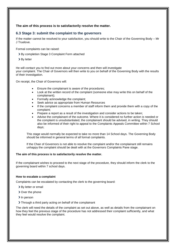#### **The aim of this process is to satisfactorily resolve the matter.**

# **6.3 Stage 3: submit the complaint to the governors**

If the matter cannot be resolved to your satisfaction, you should write to the Chair of the Governing Body – Mr J Truelove.

Formal complaints can be raised:

By completion Stage 3 Complaint Form attached

> By letter

He will contact you to find out more about your concerns and then will investigate your complaint. The Chair of Governors will then write to you on behalf of the Governing Body with the results of their investigation.

On receipt, the Chair of Governors will:

- Ensure the complainant is aware of the procedures;
- Look at the written record of the complaint (someone else may write this on behalf of the complainant);
- Formally acknowledge the complaint;
- Seek advice as appropriate from Human Resources
- If the complaint concerns a member of staff inform them and provide them with a copy of the complaint;
- Prepare a report as a result of the investigation and consider actions to be taken;
- Advise the complainant of the outcome. Where it is considered no further action is needed or the complaint is unsubstantiated, the complainant should be advised, in writing. They should also be informed of their right to appeal to the Complaints Appeals Committee within 7 School days;

This stage would normally be expected to take no more than 14 School days. The Governing Body should be informed in general terms of all formal complaints.

If the Chair of Governors is not able to resolve the complaint and/or the complainant still remains unhappy the complaint should be dealt with at the Governors Complaints Pane stage.

#### **The aim of this process is to satisfactorily resolve the matter.**

If the complainant wishes to proceed to the next stage of the procedure, they should inform the clerk to the governing board within 7 school days.

#### **How to escalate a complaint**

Complaints can be escalated by contacting the clerk to the governing board:

- > By letter or email
- Over the phone
- > In person
- Through a third party acting on behalf of the complainant

The clerk will need the details of the complaint as set out above, as well as details from the complainant on how they feel the previous stage of the procedure has not addressed their complaint sufficiently, and what they feel would resolve the complaint.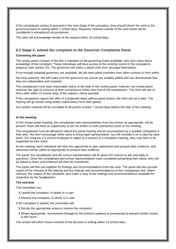If the complainant wishes to proceed to the next stage of the procedure, they should inform the clerk to the governing board in writing within 7 school days. Requests received outside of this time frame will be considered in exceptional circumstances.

The clerk will acknowledge receipt of the request within 10 school days.

#### **6.3 Stage 4: submit the complaint to the Governor Complaints Panel**

#### **Convening the panel**

The review panel consists of the first 3 members of the governing board available, who don't have direct knowledge of the complaint. These individuals will have access to the existing record of the complaint's progress (see section 10). The governors will select a panel chair from amongst themselves.

If not enough impartial governors are available, we will seek panel members from other schools or from within

the local authority. We will make sure the governors we source are suitably skilled and can demonstrate that they are independent and impartial.

The complainant must have reasonable notice of the date of the review panel; however, the review panel reserves the right to convene at their convenience rather than that of the complainant. The clerk will aim to find a date within 21 school days of the request, where possible.

If the complainant rejects the offer of 3 proposed dates without good reason, the clerk will set a date. The hearing will go ahead using written submissions from both parties.

Any written material will be circulated to all parties at least 7 school days before the date of the meeting.

#### **At the meeting**

At the review panel meeting, the complainant and representatives from the school, as appropriate, will be present. Each will have an opportunity to set out written or oral submissions prior to the meeting.

The complainant must be allowed to attend the panel hearing and be accompanied by a suitable companion if they wish. We don't encourage either party to bring legal representation, but will consider it on a case-by-case basis. For instance, if a school employee is called as a witness in a complaint meeting, they may wish to be supported by their union.

At the meeting, each individual will have the opportunity to give statements and present their evidence, and witnesses will be called as appropriate to present their evidence.

The panel, the complainant and the school representative will be given the chance to ask and reply to questions. Once the complainant and school representatives have completed presenting their cases, they will be asked to leave and evidence will then be considered.

The panel will then put together its findings and recommendations from the case. The panel will also provide copies of the minutes of the hearing and the findings and recommendations to the complainant and, where relevant, the subject of the complaint, and make a copy of the findings and recommendations available for inspection by the headteacher.

#### **The outcome**

The committee can:

- Uphold the complaint, in whole or in part
- Dismiss the complaint, in whole or in part
- If the complaint is upheld, the committee will:
	- Decide the appropriate action to resolve the complaint
	- Where appropriate, recommend changes to the school's systems or procedures to prevent similar issues in the future

The school will inform those involved of the decision in writing within 14 school days.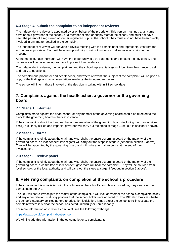## **6.3 Stage 4: submit the complaint to an independent reviewer**

The independent reviewer is appointed by or on behalf of the proprietor. This person must not, at any time, have been a governor of the school, or a member of staff or supply staff at the school, and must not have been the parent of a registered or former registered pupil at the school. They must also not have been directly involved in any matter detailed in the complaint.

The independent reviewer will convene a review meeting with the complainant and representatives from the school, as appropriate. Each will have an opportunity to set out written or oral submissions prior to the meeting.

At the meeting, each individual will have the opportunity to give statements and present their evidence, and witnesses will be called as appropriate to present their evidence.

The independent reviewer, the complainant and the school representative(s) will be given the chance to ask and reply to questions.

The complainant, proprietor and headteacher, and where relevant, the subject of the complaint, will be given a copy of the findings and recommendations made by the independent person.

The school will inform those involved of the decision in writing within 14 school days.

# <span id="page-7-0"></span>**7. Complaints against the headteacher, a governor or the governing board**

### **7.1 Stage 1: informal**

Complaints made against the headteacher or any member of the governing board should be directed to the clerk to the governing board in the first instance.

If the complaint is about the headteacher or one member of the governing board (including the chair or vicechair), a suitably skilled and impartial governor will carry out the steps at stage 1 (set out in section 6 above).

## **7.2 Stage 2: formal**

If the complaint is jointly about the chair and vice-chair, the entire governing board or the majority of the governing board, an independent investigator will carry out the steps in stage 2 (set out in section 6 above). They will be appointed by the governing board and will write a formal response at the end of their investigation.

#### **7.3 Stage 3: review panel**

If the complaint is jointly about the chair and vice-chair, the entire governing board or the majority of the governing board, a committee of independent governors will hear the complaint. They will be sourced from local schools or the local authority and will carry out the steps at stage 3 (set out in section 6 above).

# <span id="page-7-1"></span>**8. Referring complaints on completion of the school's procedure**

If the complainant is unsatisfied with the outcome of the school's complaints procedure, they can refer their complaint to the DfE.

The DfE will not re-investigate the matter of the complaint. It will look at whether the school's complaints policy and any other relevant statutory policies that the school holds were adhered to. The DfE also looks at whether the school's statutory policies adhere to education legislation. It may direct the school to re-investigate the complaint where it is clear the school has acted unlawfully or unreasonably.

For more information or to refer a complaint, see the following webpage:

<https://www.gov.uk/complain-about-school>

We will include this information in the outcome letter to complainants.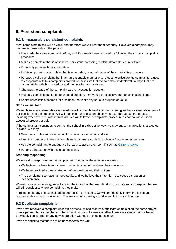# <span id="page-8-0"></span>**9. Persistent complaints**

#### **9.1 Unreasonably persistent complaints**

Most complaints raised will be valid, and therefore we will treat them seriously. However, a complaint may become unreasonable if the person:

- Has made the same complaint before, and it's already been resolved by following the school's complaints procedure
- Makes a complaint that is obsessive, persistent, harassing, prolific, defamatory or repetitive
- > Knowingly provides false information
- Insists on pursuing a complaint that is unfounded, or out of scope of the complaints procedure
- Pursues a valid complaint, but in an unreasonable manner e.g. refuses to articulate the complaint, refuses to co-operate with this complaints procedure, or insists that the complaint is dealt with in ways that are incompatible with this procedure and the time frames it sets out
- Changes the basis of the complaint as the investigation goes on
- Makes a complaint designed to cause disruption, annoyance or excessive demands on school time
- Seeks unrealistic outcomes, or a solution that lacks any serious purpose or value

#### **Steps we will take**

We will take every reasonable step to address the complainant's concerns, and give them a clear statement of our position and their options. We will maintain our role as an objective arbiter throughout the process, including when we meet with individuals. We will follow our complaints procedure as normal (as outlined above) wherever possible.

If the complainant continues to contact the school in a disruptive way, we may put communications strategies in place. We may:

- Sive the complainant a single point of contact via an email address
- Limit the number of times the complainant can make contact, such as a fixed number per term
- Ask the complainant to engage a third party to act on their behalf, such as [Citizens Advice](https://www.citizensadvice.org.uk/)
- > Put any other strategy in place as necessary

#### **Stopping responding**

We may stop responding to the complainant when all of these factors are met:

- We believe we have taken all reasonable steps to help address their concerns
- We have provided a clear statement of our position and their options
- The complainant contacts us repeatedly, and we believe their intention is to cause disruption or inconvenience

Where we stop responding, we will inform the individual that we intend to do so. We will also explain that we will still consider any new complaints they make.

In response to any serious incident of aggression or violence, we will immediately inform the police and communicate our actions in writing. This may include barring an individual from our school site.

#### **9.2 Duplicate complaints**

If we have resolved a complaint under this procedure and receive a duplicate complaint on the same subject from a partner, family member or other individual, we will assess whether there are aspects that we hadn't previously considered, or any new information we need to take into account.

If we are satisfied that there are no new aspects, we will: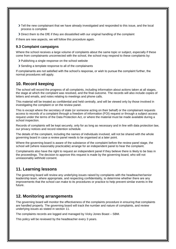- Tell the new complainant that we have already investigated and responded to this issue, and the local process is complete
- Direct them to the DfE if they are dissatisfied with our original handling of the complaint

If there are new aspects, we will follow this procedure again.

### **9.3 Complaint campaigns**

Where the school receives a large volume of complaints about the same topic or subject, especially if these come from complainants unconnected with the school, the school may respond to these complaints by:

- > Publishing a single response on the school website
- Sending a template response to all of the complainants

If complainants are not satisfied with the school's response, or wish to pursue the complaint further, the normal procedures will apply.

# <span id="page-9-0"></span>**10. Record keeping**

The school will record the progress of all complaints, including information about actions taken at all stages, the stage at which the complaint was resolved, and the final outcome. The records will also include copies of letters and emails, and notes relating to meetings and phone calls.

This material will be treated as confidential and held centrally, and will be viewed only by those involved in investigating the complaint or on the review panel.

This is except where the secretary of state (or someone acting on their behalf) or the complainant requests access to records of a complaint through a freedom of information (FOI) request or through a subject access request under the terms of the Data Protection Act, or where the material must be made available during a school inspection.

Records of complaints will be kept securely, only for as long as necessary and in line with data protection law, our privacy notices and record retention schedule.

The details of the complaint, including the names of individuals involved, will not be shared with the whole governing board in case a review panel needs to be organised at a later point.

Where the governing board is aware of the substance of the complaint before the review panel stage, the school will (where reasonably practicable) arrange for an independent panel to hear the complaint.

Complainants also have the right to request an independent panel if they believe there is likely to be bias in the proceedings. The decision to approve this request is made by the governing board, who will not unreasonably withhold consent.

# <span id="page-9-1"></span>**11. Learning lessons**

The governing board will review any underlying issues raised by complaints with the headteacher/senior leadership team, where appropriate, and respecting confidentiality, to determine whether there are any improvements that the school can make to its procedures or practice to help prevent similar events in the future.

# <span id="page-9-2"></span>**12. Monitoring arrangements**

The governing board will monitor the effectiveness of the complaints procedure in ensuring that complaints are handled properly. The governing board will track the number and nature of complaints, and review underlying issues as stated in section 11.

The complaints records are logged and managed by Vicky Jones Boast – SBM.

This policy will be reviewed by the headteacher every 3 years.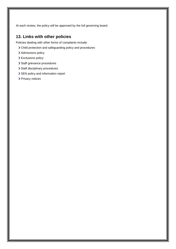At each review, the policy will be approved by the full governing board.

# <span id="page-10-0"></span>**13. Links with other policies**

Policies dealing with other forms of complaints include:

- Child protection and safeguarding policy and procedures
- > Admissions policy
- > Exclusions policy
- > Staff grievance procedures
- > Staff disciplinary procedures
- > SEN policy and information report
- > Privacy notices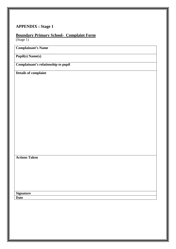# **APPENDIX : Stage 1**

# **Boundary Primary School- Complaint Form**

(Stage 1)

# **Complainant's Name**

**Pupil(s) Name(s)**

**Complainant's relationship to pupil**

**Details of complaint** 

# **Actions Taken**

**Signature Date**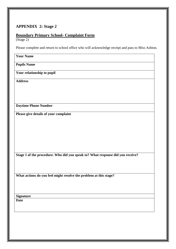# **APPENDIX 2: Stage 2**

# **Boundary Primary School- Complaint Form**

(Stage 2)

Please complete and return to school office who will acknowledge receipt and pass to Miss Ashton.

| <b>Your Name</b>                                                               |
|--------------------------------------------------------------------------------|
| <b>Pupils Name</b>                                                             |
| Your relationship to pupil                                                     |
| <b>Address</b>                                                                 |
|                                                                                |
|                                                                                |
| <b>Daytime Phone Number</b>                                                    |
| Please give details of your complaint                                          |
|                                                                                |
|                                                                                |
|                                                                                |
|                                                                                |
| Stage 1 of the procedure. Who did you speak to? What response did you receive? |
|                                                                                |
| What actions do you feel might resolve the problem at this stage?              |
|                                                                                |
|                                                                                |
| <b>Signature</b>                                                               |
| <b>Date</b>                                                                    |
|                                                                                |
|                                                                                |
|                                                                                |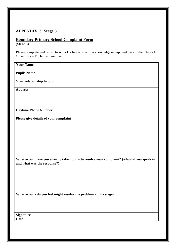# **APPENDIX 3: Stage 3**

## **Boundary Primary School Complaint Form**

(Stage 3)

Please complete and return to school office who will acknowledge receipt and pass to the Chair of Governors – Mr Jamie Truelove

**Your Name**

**Pupils Name**

**Your relationship to pupil**

**Address**

**Daytime Phone Number**

**Please give details of your complaint** 

**What action have you already taken to try to resolve your complaint? (who did you speak to and what was the response?)**

**What actions do you feel might resolve the problem at this stage?**

**Signature Date**